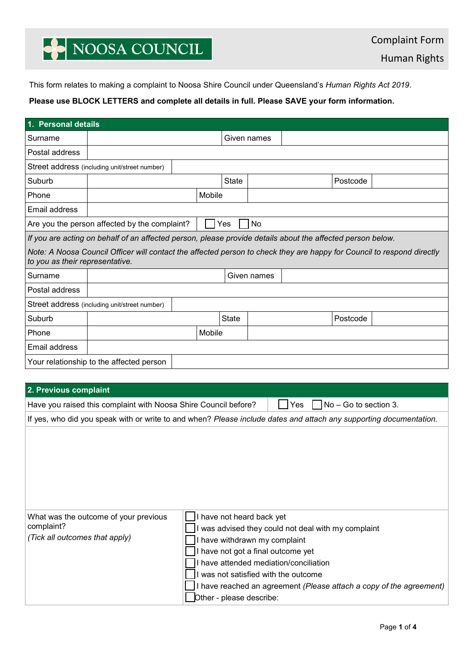## NOOSA COUNCIL

This form relates to making a complaint to Noosa Shire Council under Queensland's *Human Rights Act 2019*.

### **Please use BLOCK LETTERS and complete all details in full. Please SAVE your form information.**

| 1. Personal details                                                                                                                                       |                                                                                                                    |                                                                                                                                                                                                                                                                                                                                              |              |             |     |                       |  |  |
|-----------------------------------------------------------------------------------------------------------------------------------------------------------|--------------------------------------------------------------------------------------------------------------------|----------------------------------------------------------------------------------------------------------------------------------------------------------------------------------------------------------------------------------------------------------------------------------------------------------------------------------------------|--------------|-------------|-----|-----------------------|--|--|
| Surname                                                                                                                                                   |                                                                                                                    |                                                                                                                                                                                                                                                                                                                                              | Given names  |             |     |                       |  |  |
| Postal address                                                                                                                                            |                                                                                                                    |                                                                                                                                                                                                                                                                                                                                              |              |             |     |                       |  |  |
|                                                                                                                                                           | Street address (including unit/street number)                                                                      |                                                                                                                                                                                                                                                                                                                                              |              |             |     |                       |  |  |
| Suburb                                                                                                                                                    |                                                                                                                    |                                                                                                                                                                                                                                                                                                                                              | <b>State</b> |             |     | Postcode              |  |  |
| Phone                                                                                                                                                     |                                                                                                                    | Mobile                                                                                                                                                                                                                                                                                                                                       |              |             |     |                       |  |  |
| Email address                                                                                                                                             |                                                                                                                    |                                                                                                                                                                                                                                                                                                                                              |              |             |     |                       |  |  |
| Are you the person affected by the complaint?<br>No<br>Yes                                                                                                |                                                                                                                    |                                                                                                                                                                                                                                                                                                                                              |              |             |     |                       |  |  |
|                                                                                                                                                           | If you are acting on behalf of an affected person, please provide details about the affected person below.         |                                                                                                                                                                                                                                                                                                                                              |              |             |     |                       |  |  |
| Note: A Noosa Council Officer will contact the affected person to check they are happy for Council to respond directly<br>to you as their representative. |                                                                                                                    |                                                                                                                                                                                                                                                                                                                                              |              |             |     |                       |  |  |
| Surname                                                                                                                                                   |                                                                                                                    |                                                                                                                                                                                                                                                                                                                                              |              | Given names |     |                       |  |  |
| Postal address                                                                                                                                            |                                                                                                                    |                                                                                                                                                                                                                                                                                                                                              |              |             |     |                       |  |  |
|                                                                                                                                                           | Street address (including unit/street number)                                                                      |                                                                                                                                                                                                                                                                                                                                              |              |             |     |                       |  |  |
| Suburb                                                                                                                                                    |                                                                                                                    |                                                                                                                                                                                                                                                                                                                                              | State        |             |     | Postcode              |  |  |
| Phone                                                                                                                                                     |                                                                                                                    | Mobile                                                                                                                                                                                                                                                                                                                                       |              |             |     |                       |  |  |
| Email address                                                                                                                                             |                                                                                                                    |                                                                                                                                                                                                                                                                                                                                              |              |             |     |                       |  |  |
|                                                                                                                                                           | Your relationship to the affected person                                                                           |                                                                                                                                                                                                                                                                                                                                              |              |             |     |                       |  |  |
|                                                                                                                                                           |                                                                                                                    |                                                                                                                                                                                                                                                                                                                                              |              |             |     |                       |  |  |
| 2. Previous complaint                                                                                                                                     |                                                                                                                    |                                                                                                                                                                                                                                                                                                                                              |              |             |     |                       |  |  |
|                                                                                                                                                           | Have you raised this complaint with Noosa Shire Council before?                                                    |                                                                                                                                                                                                                                                                                                                                              |              |             | Yes | No - Go to section 3. |  |  |
|                                                                                                                                                           | If yes, who did you speak with or write to and when? Please include dates and attach any supporting documentation. |                                                                                                                                                                                                                                                                                                                                              |              |             |     |                       |  |  |
|                                                                                                                                                           |                                                                                                                    |                                                                                                                                                                                                                                                                                                                                              |              |             |     |                       |  |  |
| What was the outcome of your previous<br>complaint?<br>(Tick all outcomes that apply)                                                                     |                                                                                                                    | I have not heard back yet<br>I was advised they could not deal with my complaint<br>I have withdrawn my complaint<br>I have not got a final outcome yet<br>I have attended mediation/conciliation<br>I was not satisfied with the outcome<br>I have reached an agreement (Please attach a copy of the agreement)<br>Other - please describe: |              |             |     |                       |  |  |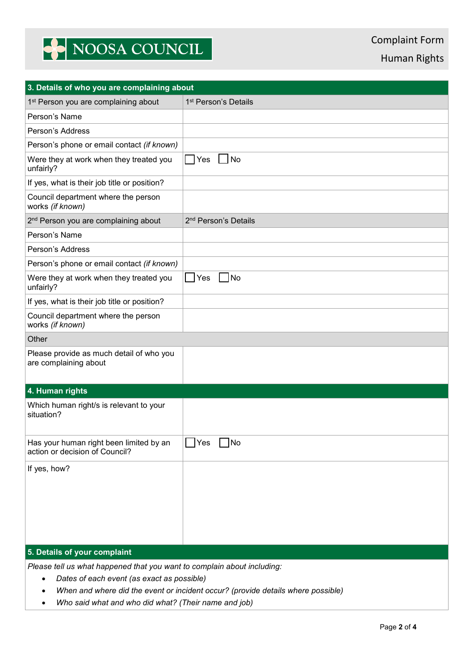# NOOSA COUNCIL

Human Rights

| 3. Details of who you are complaining about                                                                                                                                                                                                                                    |                                  |  |  |  |  |  |
|--------------------------------------------------------------------------------------------------------------------------------------------------------------------------------------------------------------------------------------------------------------------------------|----------------------------------|--|--|--|--|--|
| 1 <sup>st</sup> Person you are complaining about                                                                                                                                                                                                                               | 1 <sup>st</sup> Person's Details |  |  |  |  |  |
| Person's Name                                                                                                                                                                                                                                                                  |                                  |  |  |  |  |  |
| Person's Address                                                                                                                                                                                                                                                               |                                  |  |  |  |  |  |
| Person's phone or email contact (if known)                                                                                                                                                                                                                                     |                                  |  |  |  |  |  |
| Were they at work when they treated you<br>unfairly?                                                                                                                                                                                                                           | No<br>Yes<br>$\mathsf{L}$        |  |  |  |  |  |
| If yes, what is their job title or position?                                                                                                                                                                                                                                   |                                  |  |  |  |  |  |
| Council department where the person<br>works (if known)                                                                                                                                                                                                                        |                                  |  |  |  |  |  |
| 2 <sup>nd</sup> Person you are complaining about                                                                                                                                                                                                                               | 2 <sup>nd</sup> Person's Details |  |  |  |  |  |
| Person's Name                                                                                                                                                                                                                                                                  |                                  |  |  |  |  |  |
| Person's Address                                                                                                                                                                                                                                                               |                                  |  |  |  |  |  |
| Person's phone or email contact (if known)                                                                                                                                                                                                                                     |                                  |  |  |  |  |  |
| Were they at work when they treated you<br>unfairly?                                                                                                                                                                                                                           | N <sub>O</sub><br>Yes            |  |  |  |  |  |
| If yes, what is their job title or position?                                                                                                                                                                                                                                   |                                  |  |  |  |  |  |
| Council department where the person<br>works (if known)                                                                                                                                                                                                                        |                                  |  |  |  |  |  |
| Other                                                                                                                                                                                                                                                                          |                                  |  |  |  |  |  |
| Please provide as much detail of who you<br>are complaining about                                                                                                                                                                                                              |                                  |  |  |  |  |  |
| 4. Human rights                                                                                                                                                                                                                                                                |                                  |  |  |  |  |  |
| Which human right/s is relevant to your<br>situation?                                                                                                                                                                                                                          |                                  |  |  |  |  |  |
| Has your human right been limited by an<br>action or decision of Council?                                                                                                                                                                                                      | No<br>Yes                        |  |  |  |  |  |
| If yes, how?                                                                                                                                                                                                                                                                   |                                  |  |  |  |  |  |
| 5. Details of your complaint                                                                                                                                                                                                                                                   |                                  |  |  |  |  |  |
| Please tell us what happened that you want to complain about including:<br>Dates of each event (as exact as possible)<br>$\bullet$<br>When and where did the event or incident occur? (provide details where possible)<br>Who said what and who did what? (Their name and job) |                                  |  |  |  |  |  |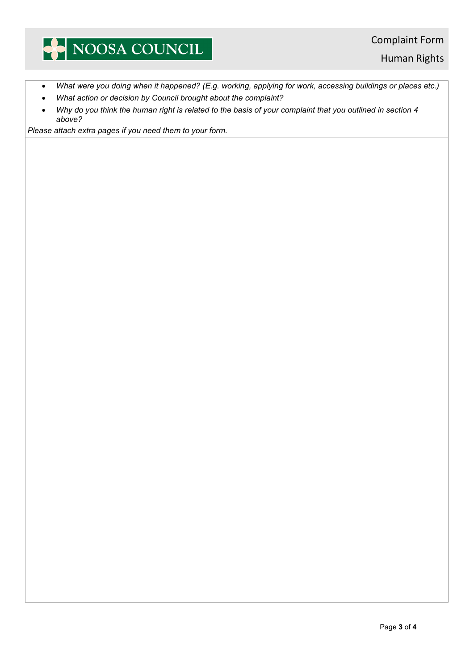### NOOSA COUNCIL

Human Rights

- *What were you doing when it happened? (E.g. working, applying for work, accessing buildings or places etc.)*
- *What action or decision by Council brought about the complaint?*
- *Why do you think the human right is related to the basis of your complaint that you outlined in section 4 above?*

*Please attach extra pages if you need them to your form.*